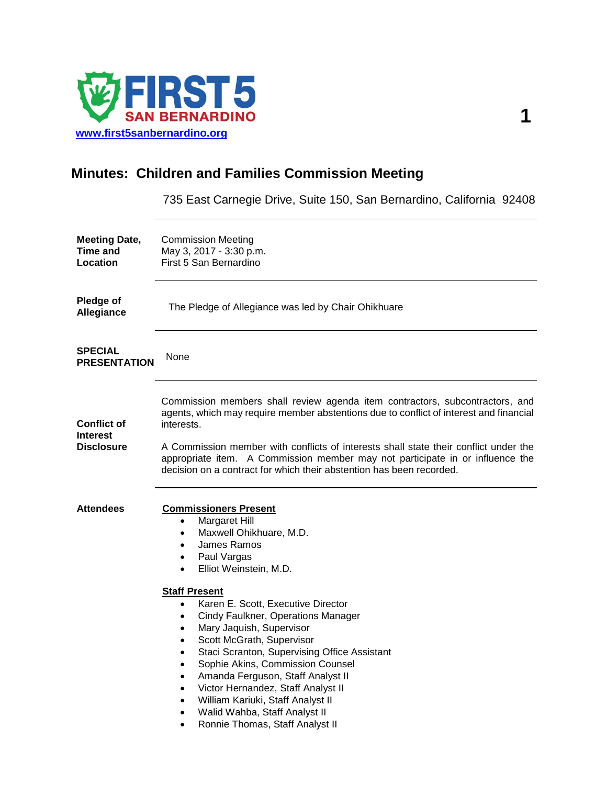

# **Minutes: Children and Families Commission Meeting**

735 East Carnegie Drive, Suite 150, San Bernardino, California 92408

| <b>Meeting Date,</b><br><b>Time and</b><br>Location        | <b>Commission Meeting</b><br>May 3, 2017 - 3:30 p.m.<br>First 5 San Bernardino                                                                                                                                                                                                                                                                                                                                                                                                                                                                                                                                                        |
|------------------------------------------------------------|---------------------------------------------------------------------------------------------------------------------------------------------------------------------------------------------------------------------------------------------------------------------------------------------------------------------------------------------------------------------------------------------------------------------------------------------------------------------------------------------------------------------------------------------------------------------------------------------------------------------------------------|
| Pledge of<br>Allegiance                                    | The Pledge of Allegiance was led by Chair Ohikhuare                                                                                                                                                                                                                                                                                                                                                                                                                                                                                                                                                                                   |
| <b>SPECIAL</b><br><b>PRESENTATION</b>                      | None                                                                                                                                                                                                                                                                                                                                                                                                                                                                                                                                                                                                                                  |
| <b>Conflict of</b><br><b>Interest</b><br><b>Disclosure</b> | Commission members shall review agenda item contractors, subcontractors, and<br>agents, which may require member abstentions due to conflict of interest and financial<br>interests.<br>A Commission member with conflicts of interests shall state their conflict under the<br>appropriate item. A Commission member may not participate in or influence the<br>decision on a contract for which their abstention has been recorded.                                                                                                                                                                                                 |
| <b>Attendees</b>                                           | <b>Commissioners Present</b><br>Margaret Hill<br>$\bullet$<br>Maxwell Ohikhuare, M.D.<br>٠<br>James Ramos<br>٠<br>Paul Vargas<br>٠<br>Elliot Weinstein, M.D.<br>$\bullet$<br><b>Staff Present</b><br>Karen E. Scott, Executive Director<br>$\bullet$<br>Cindy Faulkner, Operations Manager<br>٠<br>Mary Jaquish, Supervisor<br>٠<br>Scott McGrath, Supervisor<br>Staci Scranton, Supervising Office Assistant<br>Sophie Akins, Commission Counsel<br>Amanda Ferguson, Staff Analyst II<br>Victor Hernandez, Staff Analyst II<br>William Kariuki, Staff Analyst II<br>Walid Wahba, Staff Analyst II<br>Ronnie Thomas, Staff Analyst II |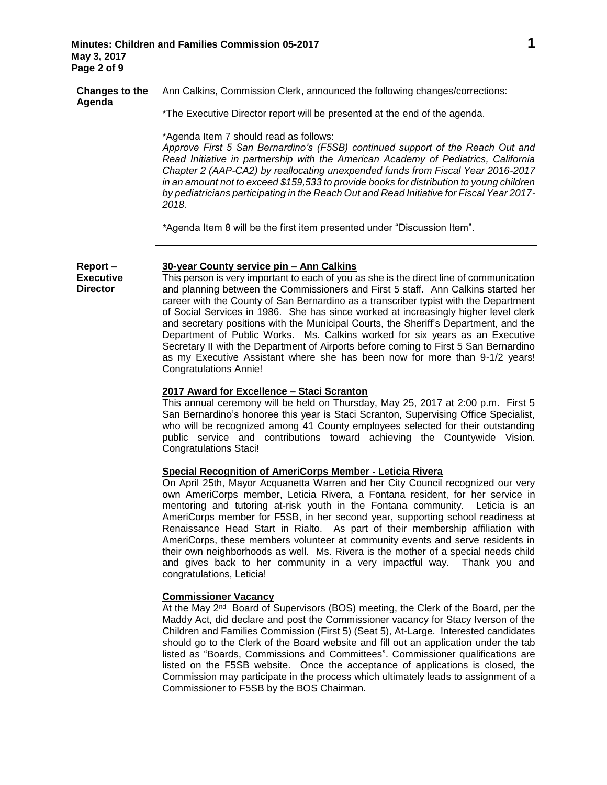**Report – Executive Director**

**Changes to the Agenda** Ann Calkins, Commission Clerk, announced the following changes/corrections:

\*The Executive Director report will be presented at the end of the agenda.

\*Agenda Item 7 should read as follows:

*Approve First 5 San Bernardino's (F5SB) continued support of the Reach Out and Read Initiative in partnership with the American Academy of Pediatrics, California Chapter 2 (AAP-CA2) by reallocating unexpended funds from Fiscal Year 2016-2017 in an amount not to exceed \$159,533 to provide books for distribution to young children by pediatricians participating in the Reach Out and Read Initiative for Fiscal Year 2017- 2018.*

*\**Agenda Item 8 will be the first item presented under "Discussion Item".

# **30-year County service pin – Ann Calkins**

This person is very important to each of you as she is the direct line of communication and planning between the Commissioners and First 5 staff. Ann Calkins started her career with the County of San Bernardino as a transcriber typist with the Department of Social Services in 1986.She has since worked at increasingly higher level clerk and secretary positions with the Municipal Courts, the Sheriff's Department, and the Department of Public Works. Ms. Calkins worked for six years as an Executive Secretary II with the Department of Airports before coming to First 5 San Bernardino as my Executive Assistant where she has been now for more than 9-1/2 years! Congratulations Annie!

# **2017 Award for Excellence – Staci Scranton**

This annual ceremony will be held on Thursday, May 25, 2017 at 2:00 p.m. First 5 San Bernardino's honoree this year is Staci Scranton, Supervising Office Specialist, who will be recognized among 41 County employees selected for their outstanding public service and contributions toward achieving the Countywide Vision. Congratulations Staci!

# **Special Recognition of AmeriCorps Member - Leticia Rivera**

On April 25th, Mayor Acquanetta Warren and her City Council recognized our very own AmeriCorps member, Leticia Rivera, a Fontana resident, for her service in mentoring and tutoring at-risk youth in the Fontana community. Leticia is an AmeriCorps member for F5SB, in her second year, supporting school readiness at Renaissance Head Start in Rialto. As part of their membership affiliation with AmeriCorps, these members volunteer at community events and serve residents in their own neighborhoods as well. Ms. Rivera is the mother of a special needs child and gives back to her community in a very impactful way. Thank you and congratulations, Leticia!

## **Commissioner Vacancy**

At the May 2<sup>nd</sup> Board of Supervisors (BOS) meeting, the Clerk of the Board, per the Maddy Act, did declare and post the Commissioner vacancy for Stacy Iverson of the Children and Families Commission (First 5) (Seat 5), At-Large. Interested candidates should go to the Clerk of the Board website and fill out an application under the tab listed as "Boards, Commissions and Committees". Commissioner qualifications are listed on the F5SB website. Once the acceptance of applications is closed, the Commission may participate in the process which ultimately leads to assignment of a Commissioner to F5SB by the BOS Chairman.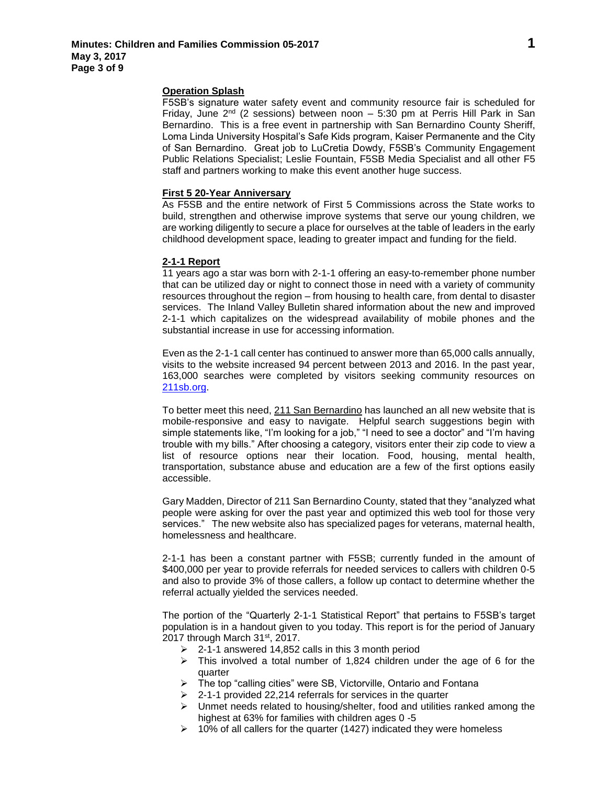### **Operation Splash**

F5SB's signature water safety event and community resource fair is scheduled for Friday, June  $2^{nd}$  (2 sessions) between noon – 5:30 pm at Perris Hill Park in San Bernardino. This is a free event in partnership with San Bernardino County Sheriff, Loma Linda University Hospital's Safe Kids program, Kaiser Permanente and the City of San Bernardino. Great job to LuCretia Dowdy, F5SB's Community Engagement Public Relations Specialist; Leslie Fountain, F5SB Media Specialist and all other F5 staff and partners working to make this event another huge success.

#### **First 5 20-Year Anniversary**

As F5SB and the entire network of First 5 Commissions across the State works to build, strengthen and otherwise improve systems that serve our young children, we are working diligently to secure a place for ourselves at the table of leaders in the early childhood development space, leading to greater impact and funding for the field.

# **2-1-1 Report**

11 years ago a star was born with 2-1-1 offering an easy-to-remember phone number that can be utilized day or night to connect those in need with a variety of community resources throughout the region – from housing to health care, from dental to disaster services. The Inland Valley Bulletin shared information about the new and improved 2-1-1 which capitalizes on the widespread availability of mobile phones and the substantial increase in use for accessing information.

Even as the 2-1-1 call center has continued to answer more than 65,000 calls annually, visits to the website increased 94 percent between 2013 and 2016. In the past year, 163,000 searches were completed by visitors seeking community resources on [211sb.org.](http://211sb.org/)

To better meet this need, [211 San Bernardino](http://www.dailybulletin.com/social-affairs/20170325/from-homeless-to-housed-new-program-is-having-immediate-success) has launched an all new website that is mobile-responsive and easy to navigate. Helpful search suggestions begin with simple statements like, "I'm looking for a job," "I need to see a doctor" and "I'm having trouble with my bills." After choosing a category, visitors enter their zip code to view a list of resource options near their location. Food, housing, mental health, transportation, substance abuse and education are a few of the first options easily accessible.

Gary Madden, Director of 211 San Bernardino County, stated that they "analyzed what people were asking for over the past year and optimized this web tool for those very services." The new website also has specialized pages for veterans, maternal health, homelessness and healthcare.

2-1-1 has been a constant partner with F5SB; currently funded in the amount of \$400,000 per year to provide referrals for needed services to callers with children 0-5 and also to provide 3% of those callers, a follow up contact to determine whether the referral actually yielded the services needed.

The portion of the "Quarterly 2-1-1 Statistical Report" that pertains to F5SB's target population is in a handout given to you today. This report is for the period of January 2017 through March 31st, 2017.

- $\geq$  2-1-1 answered 14,852 calls in this 3 month period
- $\triangleright$  This involved a total number of 1,824 children under the age of 6 for the quarter
- $\triangleright$  The top "calling cities" were SB, Victorville, Ontario and Fontana
- $\geq$  2-1-1 provided 22,214 referrals for services in the quarter
- $\triangleright$  Unmet needs related to housing/shelter, food and utilities ranked among the highest at 63% for families with children ages 0 -5
- $\geq$  10% of all callers for the quarter (1427) indicated they were homeless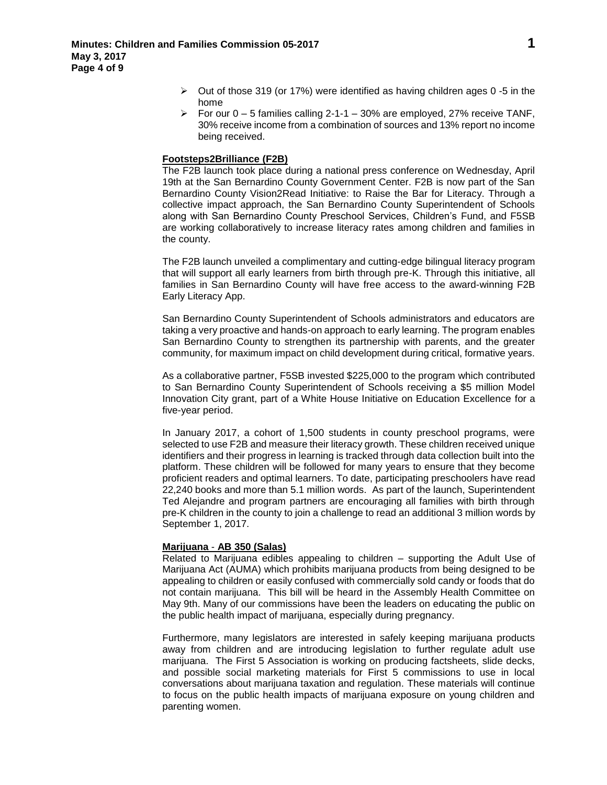- $\triangleright$  Out of those 319 (or 17%) were identified as having children ages 0 -5 in the home
- For our  $0 5$  families calling 2-1-1 30% are employed, 27% receive TANF, 30% receive income from a combination of sources and 13% report no income being received.

# **Footsteps2Brilliance (F2B)**

The F2B launch took place during a national press conference on Wednesday, April 19th at the San Bernardino County Government Center. F2B is now part of the San Bernardino County Vision2Read Initiative: to Raise the Bar for Literacy. Through a collective impact approach, the San Bernardino County Superintendent of Schools along with San Bernardino County Preschool Services, Children's Fund, and F5SB are working collaboratively to increase literacy rates among children and families in the county.

The F2B launch unveiled a complimentary and cutting-edge bilingual literacy program that will support all early learners from birth through pre-K. Through this initiative, all families in San Bernardino County will have free access to the award-winning F2B Early Literacy App.

San Bernardino County Superintendent of Schools administrators and educators are taking a very proactive and hands-on approach to early learning. The program enables San Bernardino County to strengthen its partnership with parents, and the greater community, for maximum impact on child development during critical, formative years.

As a collaborative partner, F5SB invested \$225,000 to the program which contributed to San Bernardino County Superintendent of Schools receiving a \$5 million Model Innovation City grant, part of a White House Initiative on Education Excellence for a five-year period.

In January 2017, a cohort of 1,500 students in county preschool programs, were selected to use F2B and measure their literacy growth. These children received unique identifiers and their progress in learning is tracked through data collection built into the platform. These children will be followed for many years to ensure that they become proficient readers and optimal learners. To date, participating preschoolers have read 22,240 books and more than 5.1 million words. As part of the launch, Superintendent Ted Alejandre and program partners are encouraging all families with birth through pre-K children in the county to join a challenge to read an additional 3 million words by September 1, 2017.

## **Marijuana** - **AB 350 (Salas)**

Related to Marijuana edibles appealing to children – supporting the Adult Use of Marijuana Act (AUMA) which prohibits marijuana products from being designed to be appealing to children or easily confused with commercially sold candy or foods that do not contain marijuana. This bill will be heard in the Assembly Health Committee on May 9th. Many of our commissions have been the leaders on educating the public on the public health impact of marijuana, especially during pregnancy.

Furthermore, many legislators are interested in safely keeping marijuana products away from children and are introducing legislation to further regulate adult use marijuana. The First 5 Association is working on producing factsheets, slide decks, and possible social marketing materials for First 5 commissions to use in local conversations about marijuana taxation and regulation. These materials will continue to focus on the public health impacts of marijuana exposure on young children and parenting women.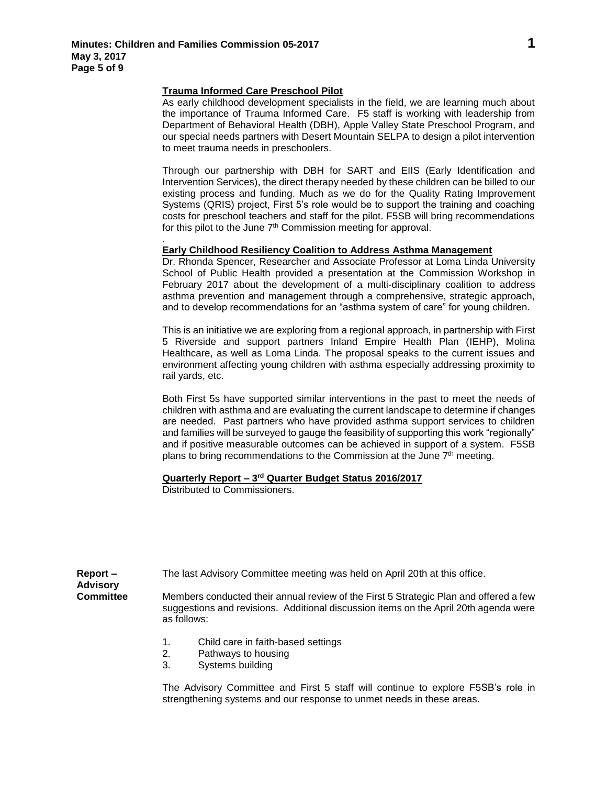.

# **Trauma Informed Care Preschool Pilot**

As early childhood development specialists in the field, we are learning much about the importance of Trauma Informed Care. F5 staff is working with leadership from Department of Behavioral Health (DBH), Apple Valley State Preschool Program, and our special needs partners with Desert Mountain SELPA to design a pilot intervention to meet trauma needs in preschoolers.

Through our partnership with DBH for SART and EIIS (Early Identification and Intervention Services), the direct therapy needed by these children can be billed to our existing process and funding. Much as we do for the Quality Rating Improvement Systems (QRIS) project, First 5's role would be to support the training and coaching costs for preschool teachers and staff for the pilot. F5SB will bring recommendations for this pilot to the June 7<sup>th</sup> Commission meeting for approval.

# **Early Childhood Resiliency Coalition to Address Asthma Management**

Dr. Rhonda Spencer, Researcher and Associate Professor at Loma Linda University School of Public Health provided a presentation at the Commission Workshop in February 2017 about the development of a multi-disciplinary coalition to address asthma prevention and management through a comprehensive, strategic approach, and to develop recommendations for an "asthma system of care" for young children.

This is an initiative we are exploring from a regional approach, in partnership with First 5 Riverside and support partners Inland Empire Health Plan (IEHP), Molina Healthcare, as well as Loma Linda. The proposal speaks to the current issues and environment affecting young children with asthma especially addressing proximity to rail yards, etc.

Both First 5s have supported similar interventions in the past to meet the needs of children with asthma and are evaluating the current landscape to determine if changes are needed. Past partners who have provided asthma support services to children and families will be surveyed to gauge the feasibility of supporting this work "regionally" and if positive measurable outcomes can be achieved in support of a system. F5SB plans to bring recommendations to the Commission at the June 7<sup>th</sup> meeting.

## **Quarterly Report – 3 rd Quarter Budget Status 2016/2017**

Distributed to Commissioners.

| $Report -$<br><b>Advisory</b> | The last Advisory Committee meeting was held on April 20th at this office.                                                                                                                   |
|-------------------------------|----------------------------------------------------------------------------------------------------------------------------------------------------------------------------------------------|
| <b>Committee</b>              | Members conducted their annual review of the First 5 Strategic Plan and offered a few<br>suggestions and revisions. Additional discussion items on the April 20th agenda were<br>as follows: |
|                               | Child care in faith-based settings<br>1.<br>Pathways to housing<br>2.                                                                                                                        |

3. Systems building

The Advisory Committee and First 5 staff will continue to explore F5SB's role in strengthening systems and our response to unmet needs in these areas.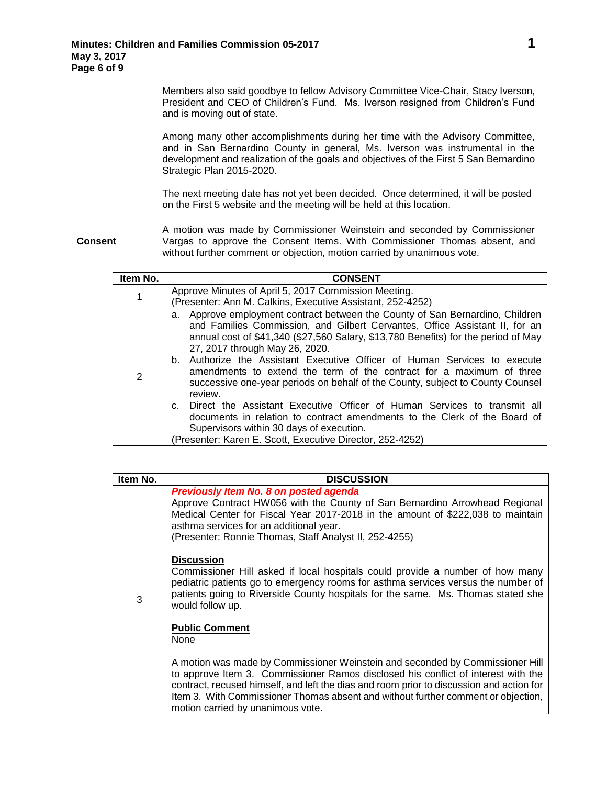Members also said goodbye to fellow Advisory Committee Vice-Chair, Stacy Iverson, President and CEO of Children's Fund. Ms. Iverson resigned from Children's Fund and is moving out of state.

Among many other accomplishments during her time with the Advisory Committee, and in San Bernardino County in general, Ms. Iverson was instrumental in the development and realization of the goals and objectives of the First 5 San Bernardino Strategic Plan 2015-2020.

The next meeting date has not yet been decided. Once determined, it will be posted on the First 5 website and the meeting will be held at this location.

**Consent**

A motion was made by Commissioner Weinstein and seconded by Commissioner Vargas to approve the Consent Items. With Commissioner Thomas absent, and without further comment or objection, motion carried by unanimous vote.

| Item No. | <b>CONSENT</b>                                                                                                                                                                                                                                                                                                                                                                                                                                                                                                                                                                                                                                                                                                                                                                                           |
|----------|----------------------------------------------------------------------------------------------------------------------------------------------------------------------------------------------------------------------------------------------------------------------------------------------------------------------------------------------------------------------------------------------------------------------------------------------------------------------------------------------------------------------------------------------------------------------------------------------------------------------------------------------------------------------------------------------------------------------------------------------------------------------------------------------------------|
| 1        | Approve Minutes of April 5, 2017 Commission Meeting.                                                                                                                                                                                                                                                                                                                                                                                                                                                                                                                                                                                                                                                                                                                                                     |
|          | (Presenter: Ann M. Calkins, Executive Assistant, 252-4252)                                                                                                                                                                                                                                                                                                                                                                                                                                                                                                                                                                                                                                                                                                                                               |
| 2        | a. Approve employment contract between the County of San Bernardino, Children<br>and Families Commission, and Gilbert Cervantes, Office Assistant II, for an<br>annual cost of \$41,340 (\$27,560 Salary, \$13,780 Benefits) for the period of May<br>27, 2017 through May 26, 2020.<br>b. Authorize the Assistant Executive Officer of Human Services to execute<br>amendments to extend the term of the contract for a maximum of three<br>successive one-year periods on behalf of the County, subject to County Counsel<br>review.<br>Direct the Assistant Executive Officer of Human Services to transmit all<br>documents in relation to contract amendments to the Clerk of the Board of<br>Supervisors within 30 days of execution.<br>(Presenter: Karen E. Scott, Executive Director, 252-4252) |

| Item No. | <b>DISCUSSION</b>                                                                                                                                                                                                                                                                                                                                                                        |
|----------|------------------------------------------------------------------------------------------------------------------------------------------------------------------------------------------------------------------------------------------------------------------------------------------------------------------------------------------------------------------------------------------|
|          | Previously Item No. 8 on posted agenda<br>Approve Contract HW056 with the County of San Bernardino Arrowhead Regional<br>Medical Center for Fiscal Year 2017-2018 in the amount of \$222,038 to maintain<br>asthma services for an additional year.<br>(Presenter: Ronnie Thomas, Staff Analyst II, 252-4255)                                                                            |
| 3        | <b>Discussion</b><br>Commissioner Hill asked if local hospitals could provide a number of how many<br>pediatric patients go to emergency rooms for asthma services versus the number of<br>patients going to Riverside County hospitals for the same. Ms. Thomas stated she<br>would follow up.                                                                                          |
|          | <b>Public Comment</b><br>None                                                                                                                                                                                                                                                                                                                                                            |
|          | A motion was made by Commissioner Weinstein and seconded by Commissioner Hill<br>to approve Item 3. Commissioner Ramos disclosed his conflict of interest with the<br>contract, recused himself, and left the dias and room prior to discussion and action for<br>Item 3. With Commissioner Thomas absent and without further comment or objection,<br>motion carried by unanimous vote. |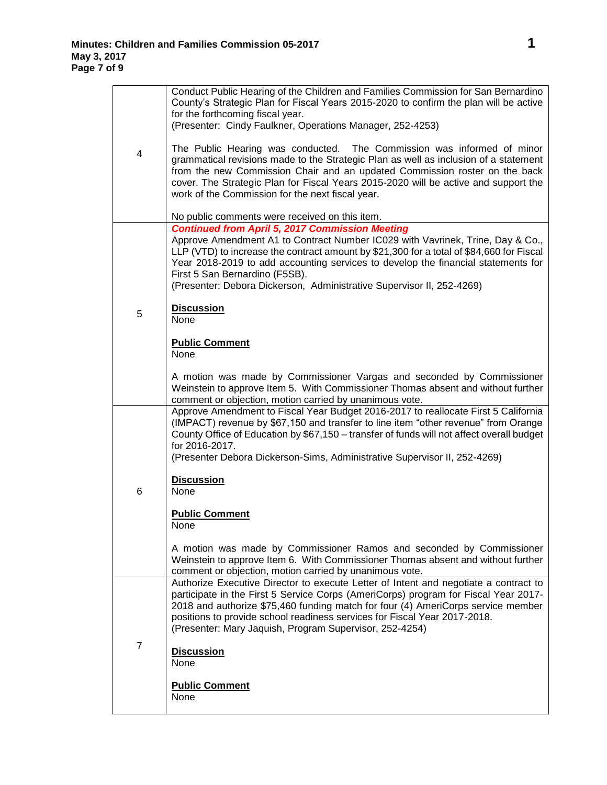|                | Conduct Public Hearing of the Children and Families Commission for San Bernardino<br>County's Strategic Plan for Fiscal Years 2015-2020 to confirm the plan will be active<br>for the forthcoming fiscal year.<br>(Presenter: Cindy Faulkner, Operations Manager, 252-4253)                                                                                                                                                          |
|----------------|--------------------------------------------------------------------------------------------------------------------------------------------------------------------------------------------------------------------------------------------------------------------------------------------------------------------------------------------------------------------------------------------------------------------------------------|
| 4              | The Public Hearing was conducted. The Commission was informed of minor<br>grammatical revisions made to the Strategic Plan as well as inclusion of a statement<br>from the new Commission Chair and an updated Commission roster on the back<br>cover. The Strategic Plan for Fiscal Years 2015-2020 will be active and support the<br>work of the Commission for the next fiscal year.                                              |
|                | No public comments were received on this item.                                                                                                                                                                                                                                                                                                                                                                                       |
|                | <b>Continued from April 5, 2017 Commission Meeting</b><br>Approve Amendment A1 to Contract Number IC029 with Vavrinek, Trine, Day & Co.,<br>LLP (VTD) to increase the contract amount by \$21,300 for a total of \$84,660 for Fiscal<br>Year 2018-2019 to add accounting services to develop the financial statements for<br>First 5 San Bernardino (F5SB).<br>(Presenter: Debora Dickerson, Administrative Supervisor II, 252-4269) |
| 5              | <b>Discussion</b><br>None                                                                                                                                                                                                                                                                                                                                                                                                            |
|                | <b>Public Comment</b><br>None                                                                                                                                                                                                                                                                                                                                                                                                        |
|                | A motion was made by Commissioner Vargas and seconded by Commissioner<br>Weinstein to approve Item 5. With Commissioner Thomas absent and without further<br>comment or objection, motion carried by unanimous vote.                                                                                                                                                                                                                 |
|                | Approve Amendment to Fiscal Year Budget 2016-2017 to reallocate First 5 California<br>(IMPACT) revenue by \$67,150 and transfer to line item "other revenue" from Orange<br>County Office of Education by \$67,150 - transfer of funds will not affect overall budget<br>for 2016-2017.<br>(Presenter Debora Dickerson-Sims, Administrative Supervisor II, 252-4269)                                                                 |
| 6              | <b>Discussion</b><br>None                                                                                                                                                                                                                                                                                                                                                                                                            |
|                | <b>Public Comment</b><br>None                                                                                                                                                                                                                                                                                                                                                                                                        |
|                | A motion was made by Commissioner Ramos and seconded by Commissioner<br>Weinstein to approve Item 6. With Commissioner Thomas absent and without further<br>comment or objection, motion carried by unanimous vote.                                                                                                                                                                                                                  |
|                | Authorize Executive Director to execute Letter of Intent and negotiate a contract to<br>participate in the First 5 Service Corps (AmeriCorps) program for Fiscal Year 2017-<br>2018 and authorize \$75,460 funding match for four (4) AmeriCorps service member<br>positions to provide school readiness services for Fiscal Year 2017-2018.<br>(Presenter: Mary Jaquish, Program Supervisor, 252-4254)                              |
| $\overline{7}$ | <b>Discussion</b><br>None                                                                                                                                                                                                                                                                                                                                                                                                            |
|                | <b>Public Comment</b><br>None                                                                                                                                                                                                                                                                                                                                                                                                        |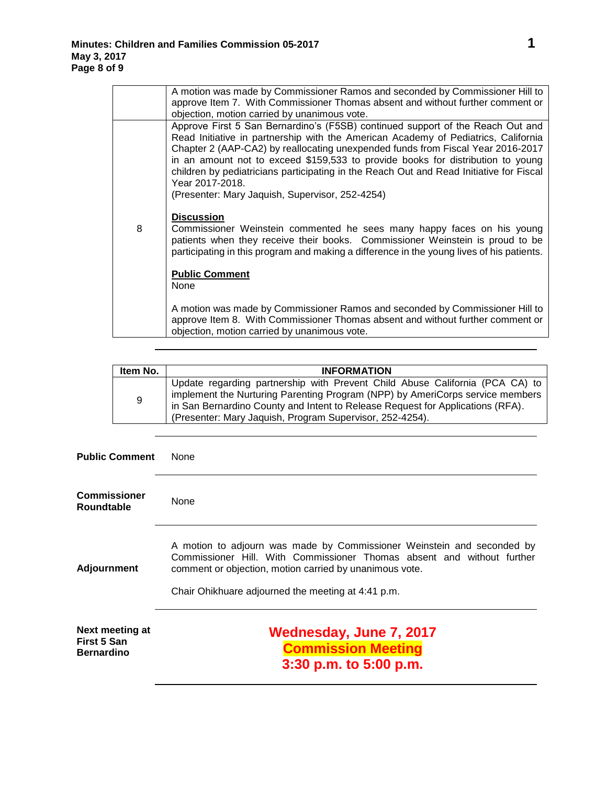|   | A motion was made by Commissioner Ramos and seconded by Commissioner Hill to<br>approve Item 7. With Commissioner Thomas absent and without further comment or<br>objection, motion carried by unanimous vote.                                                                                                                                                                                                                                                                                              |
|---|-------------------------------------------------------------------------------------------------------------------------------------------------------------------------------------------------------------------------------------------------------------------------------------------------------------------------------------------------------------------------------------------------------------------------------------------------------------------------------------------------------------|
|   | Approve First 5 San Bernardino's (F5SB) continued support of the Reach Out and<br>Read Initiative in partnership with the American Academy of Pediatrics, California<br>Chapter 2 (AAP-CA2) by reallocating unexpended funds from Fiscal Year 2016-2017<br>in an amount not to exceed \$159,533 to provide books for distribution to young<br>children by pediatricians participating in the Reach Out and Read Initiative for Fiscal<br>Year 2017-2018.<br>(Presenter: Mary Jaquish, Supervisor, 252-4254) |
| 8 | <b>Discussion</b><br>Commissioner Weinstein commented he sees many happy faces on his young<br>patients when they receive their books. Commissioner Weinstein is proud to be<br>participating in this program and making a difference in the young lives of his patients.                                                                                                                                                                                                                                   |
|   | <b>Public Comment</b><br>None                                                                                                                                                                                                                                                                                                                                                                                                                                                                               |
|   | A motion was made by Commissioner Ramos and seconded by Commissioner Hill to<br>approve Item 8. With Commissioner Thomas absent and without further comment or<br>objection, motion carried by unanimous vote.                                                                                                                                                                                                                                                                                              |

| Item No. | <b>INFORMATION</b>                                                                                                                                                                                                                                                                                          |
|----------|-------------------------------------------------------------------------------------------------------------------------------------------------------------------------------------------------------------------------------------------------------------------------------------------------------------|
| 9        | Update regarding partnership with Prevent Child Abuse California (PCA CA) to<br>implement the Nurturing Parenting Program (NPP) by AmeriCorps service members<br>in San Bernardino County and Intent to Release Request for Applications (RFA).<br>(Presenter: Mary Jaquish, Program Supervisor, 252-4254). |

| <b>Public Comment</b>                               | <b>None</b>                                                                                                                                                                                                                                                       |
|-----------------------------------------------------|-------------------------------------------------------------------------------------------------------------------------------------------------------------------------------------------------------------------------------------------------------------------|
| <b>Commissioner</b><br><b>Roundtable</b>            | None                                                                                                                                                                                                                                                              |
| Adjournment                                         | A motion to adjourn was made by Commissioner Weinstein and seconded by<br>Commissioner Hill. With Commissioner Thomas absent and without further<br>comment or objection, motion carried by unanimous vote.<br>Chair Ohikhuare adjourned the meeting at 4:41 p.m. |
| Next meeting at<br>First 5 San<br><b>Bernardino</b> | <b>Wednesday, June 7, 2017</b><br><b>Commission Meeting</b><br>3:30 p.m. to 5:00 p.m.                                                                                                                                                                             |